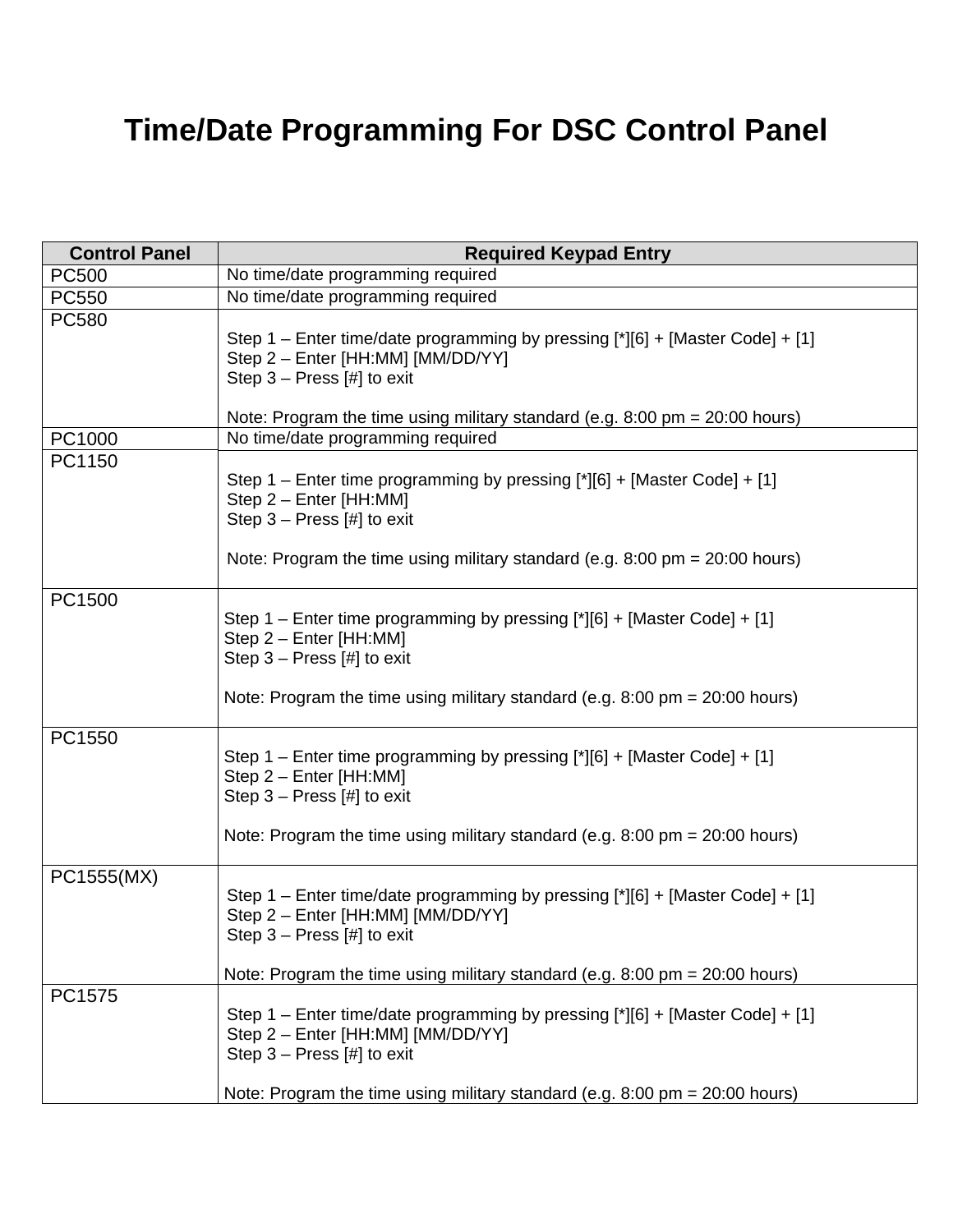## **Time/Date Programming For DSC Control Panel**

| <b>Control Panel</b> | <b>Required Keypad Entry</b>                                                                                                                                                                                                         |
|----------------------|--------------------------------------------------------------------------------------------------------------------------------------------------------------------------------------------------------------------------------------|
| <b>PC500</b>         | No time/date programming required                                                                                                                                                                                                    |
| <b>PC550</b>         | No time/date programming required                                                                                                                                                                                                    |
| <b>PC580</b>         | Step 1 - Enter time/date programming by pressing [*][6] + [Master Code] + [1]<br>Step 2 - Enter [HH:MM] [MM/DD/YY]<br>Step $3$ – Press [#] to exit                                                                                   |
|                      | Note: Program the time using military standard (e.g. $8:00 \text{ pm} = 20:00 \text{ hours}$ )                                                                                                                                       |
| PC1000               | No time/date programming required                                                                                                                                                                                                    |
| PC1150               | Step 1 – Enter time programming by pressing [*][6] + [Master Code] + [1]<br>Step 2 - Enter [HH:MM]<br>Step $3 -$ Press [#] to exit<br>Note: Program the time using military standard (e.g. $8:00 \text{ pm} = 20:00 \text{ hours}$ ) |
| PC1500               | Step 1 – Enter time programming by pressing [*][6] + [Master Code] + [1]<br>Step 2 - Enter [HH:MM]<br>Step $3$ – Press [#] to exit                                                                                                   |
|                      | Note: Program the time using military standard (e.g. $8:00 \text{ pm} = 20:00 \text{ hours}$ )                                                                                                                                       |
| PC1550               | Step 1 – Enter time programming by pressing [*][6] + [Master Code] + [1]<br>Step 2 - Enter [HH:MM]<br>Step $3 - Press [ #]$ to exit                                                                                                  |
|                      | Note: Program the time using military standard (e.g. $8:00 \text{ pm} = 20:00 \text{ hours}$ )                                                                                                                                       |
| PC1555(MX)           | Step 1 – Enter time/date programming by pressing [*][6] + [Master Code] + [1]<br>Step 2 - Enter [HH:MM] [MM/DD/YY]<br>Step $3$ – Press $[#]$ to exit                                                                                 |
|                      | Note: Program the time using military standard (e.g. $8:00 \text{ pm} = 20:00 \text{ hours}$ )                                                                                                                                       |
| PC1575               | Step 1 - Enter time/date programming by pressing [*][6] + [Master Code] + [1]<br>Step 2 - Enter [HH:MM] [MM/DD/YY]<br>Step $3$ – Press [#] to exit                                                                                   |
|                      | Note: Program the time using military standard (e.g. $8:00 \text{ pm} = 20:00 \text{ hours}$ )                                                                                                                                       |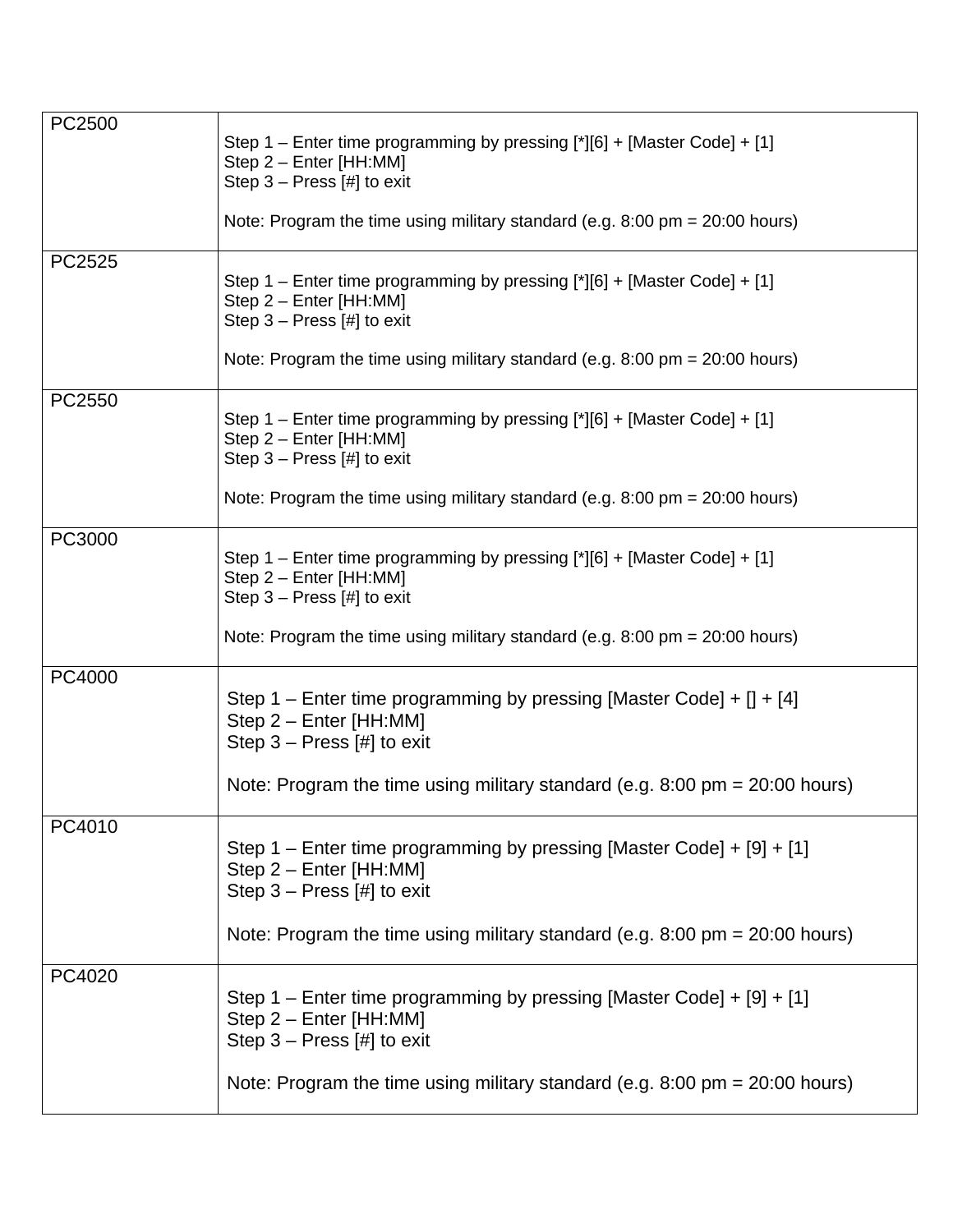| PC2500 | Step 1 - Enter time programming by pressing [*][6] + [Master Code] + [1]<br>Step 2 - Enter [HH:MM]<br>Step $3$ – Press [#] to exit |
|--------|------------------------------------------------------------------------------------------------------------------------------------|
|        | Note: Program the time using military standard (e.g. $8:00 \text{ pm} = 20:00 \text{ hours}$ )                                     |
| PC2525 | Step 1 - Enter time programming by pressing [*][6] + [Master Code] + [1]<br>Step 2 - Enter [HH:MM]<br>Step $3 -$ Press [#] to exit |
|        | Note: Program the time using military standard (e.g. $8:00 \text{ pm} = 20:00 \text{ hours}$ )                                     |
| PC2550 | Step 1 - Enter time programming by pressing [*][6] + [Master Code] + [1]<br>Step 2 - Enter [HH:MM]<br>Step $3 -$ Press [#] to exit |
|        | Note: Program the time using military standard (e.g. $8.00 \text{ pm} = 20.00 \text{ hours}$ )                                     |
| PC3000 | Step 1 – Enter time programming by pressing [*][6] + [Master Code] + [1]<br>Step 2 - Enter [HH:MM]<br>Step $3$ – Press [#] to exit |
|        | Note: Program the time using military standard (e.g. $8:00 \text{ pm} = 20:00 \text{ hours}$ )                                     |
| PC4000 | Step 1 – Enter time programming by pressing [Master Code] + $[]$ + $[4]$<br>Step 2 - Enter [HH:MM]<br>Step $3 -$ Press [#] to exit |
|        | Note: Program the time using military standard (e.g. $8:00 \text{ pm} = 20:00 \text{ hours}$ )                                     |
| PC4010 | Step 1 - Enter time programming by pressing [Master Code] + [9] + [1]<br>Step 2 - Enter [HH:MM]<br>Step $3 -$ Press [#] to exit    |
|        | Note: Program the time using military standard (e.g. $8:00 \text{ pm} = 20:00 \text{ hours}$ )                                     |
| PC4020 | Step 1 - Enter time programming by pressing [Master Code] + [9] + [1]<br>Step 2 - Enter [HH:MM]<br>Step $3 -$ Press [#] to exit    |
|        | Note: Program the time using military standard (e.g. $8:00 \text{ pm} = 20:00 \text{ hours}$ )                                     |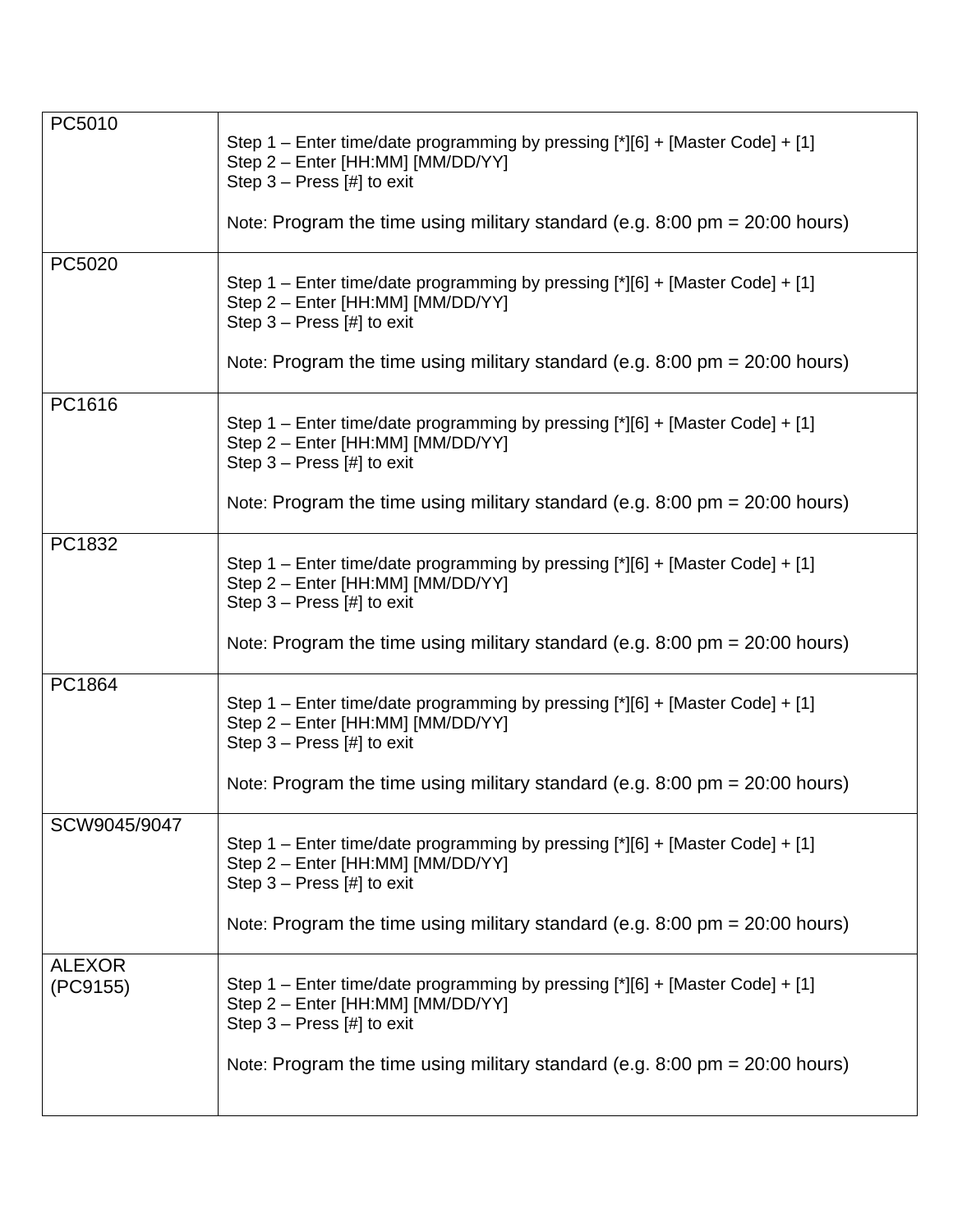| PC5010                    | Step 1 - Enter time/date programming by pressing [*][6] + [Master Code] + [1]<br>Step 2 - Enter [HH:MM] [MM/DD/YY]<br>Step $3$ – Press [#] to exit<br>Note: Program the time using military standard (e.g. $8:00 \text{ pm} = 20:00 \text{ hours}$ ) |
|---------------------------|------------------------------------------------------------------------------------------------------------------------------------------------------------------------------------------------------------------------------------------------------|
|                           |                                                                                                                                                                                                                                                      |
| PC5020                    | Step 1 – Enter time/date programming by pressing [*][6] + [Master Code] + [1]<br>Step 2 - Enter [HH:MM] [MM/DD/YY]<br>Step $3$ – Press [#] to exit                                                                                                   |
|                           | Note: Program the time using military standard (e.g. 8:00 pm = 20:00 hours)                                                                                                                                                                          |
| PC1616                    | Step 1 – Enter time/date programming by pressing [*][6] + [Master Code] + [1]<br>Step 2 - Enter [HH:MM] [MM/DD/YY]<br>Step $3$ – Press [#] to exit                                                                                                   |
|                           | Note: Program the time using military standard (e.g. $8:00 \text{ pm} = 20:00 \text{ hours}$ )                                                                                                                                                       |
| PC1832                    | Step 1 – Enter time/date programming by pressing [*][6] + [Master Code] + [1]<br>Step 2 - Enter [HH:MM] [MM/DD/YY]<br>Step $3$ – Press [#] to exit                                                                                                   |
|                           | Note: Program the time using military standard (e.g. $8:00 \text{ pm} = 20:00 \text{ hours}$ )                                                                                                                                                       |
| PC1864                    | Step 1 - Enter time/date programming by pressing [*][6] + [Master Code] + [1]<br>Step 2 - Enter [HH:MM] [MM/DD/YY]<br>Step $3$ – Press [#] to exit                                                                                                   |
|                           | Note: Program the time using military standard (e.g. $8:00 \text{ pm} = 20:00 \text{ hours}$ )                                                                                                                                                       |
| SCW9045/9047              | Step 1 – Enter time/date programming by pressing [*][6] + [Master Code] + [1]<br>Step 2 - Enter [HH:MM] [MM/DD/YY]<br>Step $3$ – Press [#] to exit                                                                                                   |
|                           | Note: Program the time using military standard (e.g. $8:00 \text{ pm} = 20:00 \text{ hours}$ )                                                                                                                                                       |
| <b>ALEXOR</b><br>(PC9155) | Step 1 - Enter time/date programming by pressing [*][6] + [Master Code] + [1]<br>Step 2 - Enter [HH:MM] [MM/DD/YY]<br>Step $3$ – Press [#] to exit                                                                                                   |
|                           | Note: Program the time using military standard (e.g. $8:00 \text{ pm} = 20:00 \text{ hours}$ )                                                                                                                                                       |